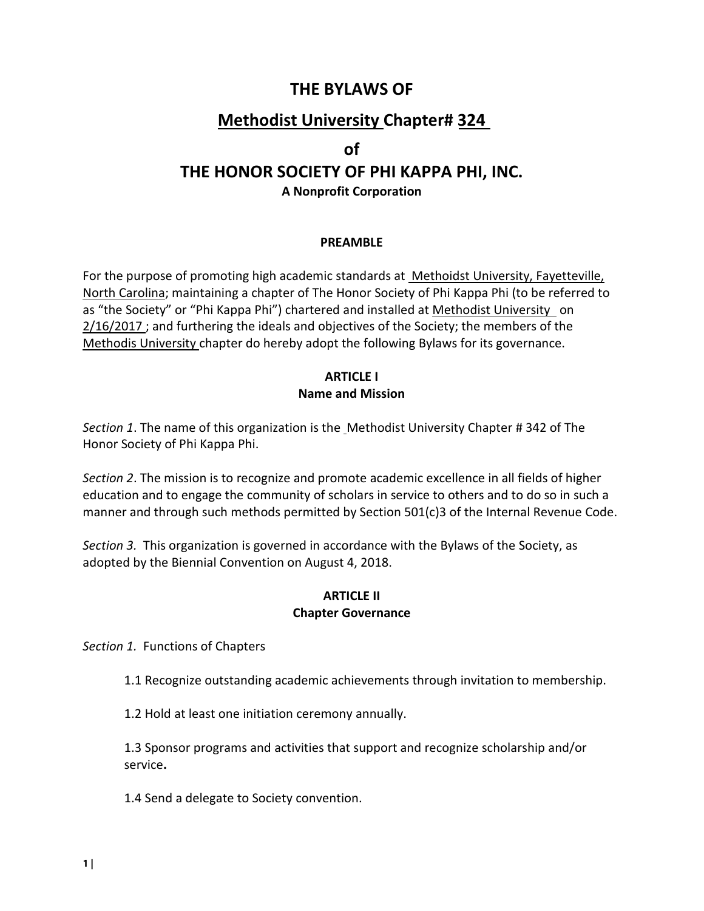### **THE BYLAWS OF**

## **Methodist University Chapter# 324**

#### **of**

# **THE HONOR SOCIETY OF PHI KAPPA PHI, INC.**

**A Nonprofit Corporation** 

#### **PREAMBLE**

For the purpose of promoting high academic standards at Methoidst University, Fayetteville, North Carolina; maintaining a chapter of The Honor Society of Phi Kappa Phi (to be referred to as "the Society" or "Phi Kappa Phi") chartered and installed at Methodist University on 2/16/2017; and furthering the ideals and objectives of the Society; the members of the Methodis University chapter do hereby adopt the following Bylaws for its governance.

#### **ARTICLE I Name and Mission**

*Section 1*. The name of this organization is the Methodist University Chapter # 342 of The Honor Society of Phi Kappa Phi.

*Section 2*. The mission is to recognize and promote academic excellence in all fields of higher education and to engage the community of scholars in service to others and to do so in such a manner and through such methods permitted by Section 501(c)3 of the Internal Revenue Code.

*Section 3.* This organization is governed in accordance with the Bylaws of the Society, as adopted by the Biennial Convention on August 4, 2018.

#### **ARTICLE II Chapter Governance**

*Section 1.* Functions of Chapters

1.1 Recognize outstanding academic achievements through invitation to membership.

1.2 Hold at least one initiation ceremony annually.

1.3 Sponsor programs and activities that support and recognize scholarship and/or service**.**

1.4 Send a delegate to Society convention.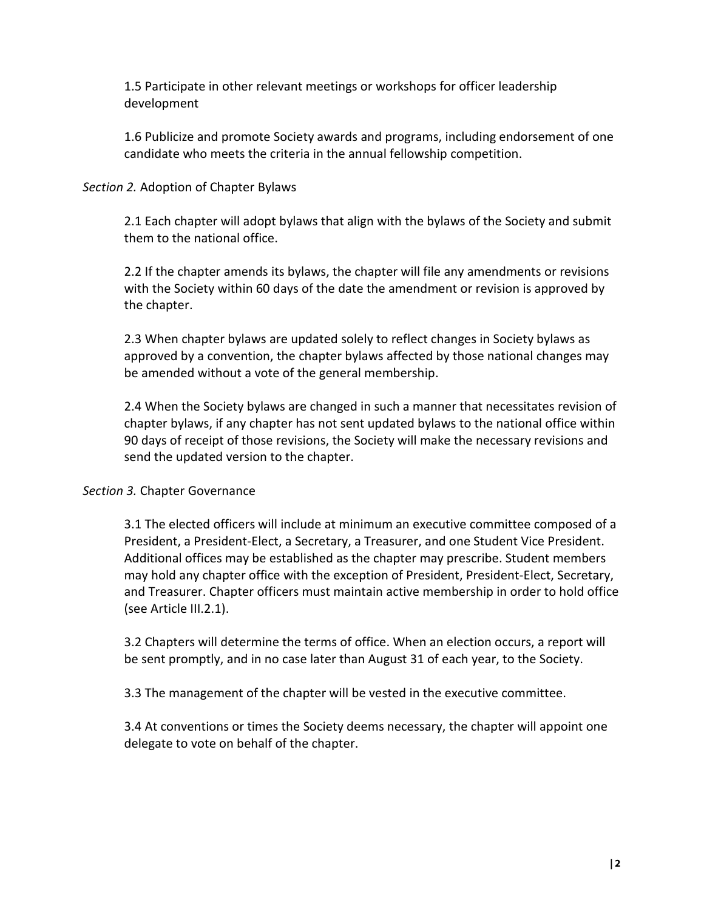1.5 Participate in other relevant meetings or workshops for officer leadership development

1.6 Publicize and promote Society awards and programs, including endorsement of one candidate who meets the criteria in the annual fellowship competition.

#### *Section 2.* Adoption of Chapter Bylaws

2.1 Each chapter will adopt bylaws that align with the bylaws of the Society and submit them to the national office.

2.2 If the chapter amends its bylaws, the chapter will file any amendments or revisions with the Society within 60 days of the date the amendment or revision is approved by the chapter.

2.3 When chapter bylaws are updated solely to reflect changes in Society bylaws as approved by a convention, the chapter bylaws affected by those national changes may be amended without a vote of the general membership.

2.4 When the Society bylaws are changed in such a manner that necessitates revision of chapter bylaws, if any chapter has not sent updated bylaws to the national office within 90 days of receipt of those revisions, the Society will make the necessary revisions and send the updated version to the chapter.

#### *Section 3.* Chapter Governance

3.1 The elected officers will include at minimum an executive committee composed of a President, a President-Elect, a Secretary, a Treasurer, and one Student Vice President. Additional offices may be established as the chapter may prescribe. Student members may hold any chapter office with the exception of President, President-Elect, Secretary, and Treasurer. Chapter officers must maintain active membership in order to hold office (see Article III.2.1).

3.2 Chapters will determine the terms of office. When an election occurs, a report will be sent promptly, and in no case later than August 31 of each year, to the Society.

3.3 The management of the chapter will be vested in the executive committee.

3.4 At conventions or times the Society deems necessary, the chapter will appoint one delegate to vote on behalf of the chapter.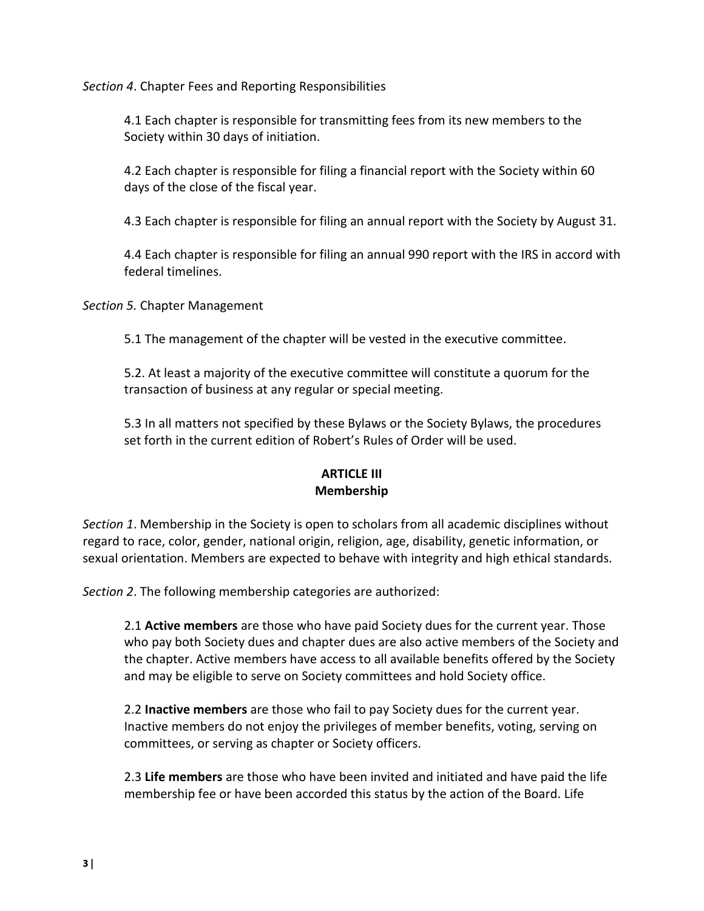*Section 4*. Chapter Fees and Reporting Responsibilities

4.1 Each chapter is responsible for transmitting fees from its new members to the Society within 30 days of initiation.

4.2 Each chapter is responsible for filing a financial report with the Society within 60 days of the close of the fiscal year.

4.3 Each chapter is responsible for filing an annual report with the Society by August 31.

4.4 Each chapter is responsible for filing an annual 990 report with the IRS in accord with federal timelines.

*Section 5.* Chapter Management

5.1 The management of the chapter will be vested in the executive committee.

5.2. At least a majority of the executive committee will constitute a quorum for the transaction of business at any regular or special meeting.

5.3 In all matters not specified by these Bylaws or the Society Bylaws, the procedures set forth in the current edition of Robert's Rules of Order will be used.

#### **ARTICLE III Membership**

*Section 1*. Membership in the Society is open to scholars from all academic disciplines without regard to race, color, gender, national origin, religion, age, disability, genetic information, or sexual orientation. Members are expected to behave with integrity and high ethical standards.

*Section 2*. The following membership categories are authorized:

2.1 **Active members** are those who have paid Society dues for the current year. Those who pay both Society dues and chapter dues are also active members of the Society and the chapter. Active members have access to all available benefits offered by the Society and may be eligible to serve on Society committees and hold Society office.

2.2 **Inactive members** are those who fail to pay Society dues for the current year. Inactive members do not enjoy the privileges of member benefits, voting, serving on committees, or serving as chapter or Society officers.

2.3 **Life members** are those who have been invited and initiated and have paid the life membership fee or have been accorded this status by the action of the Board. Life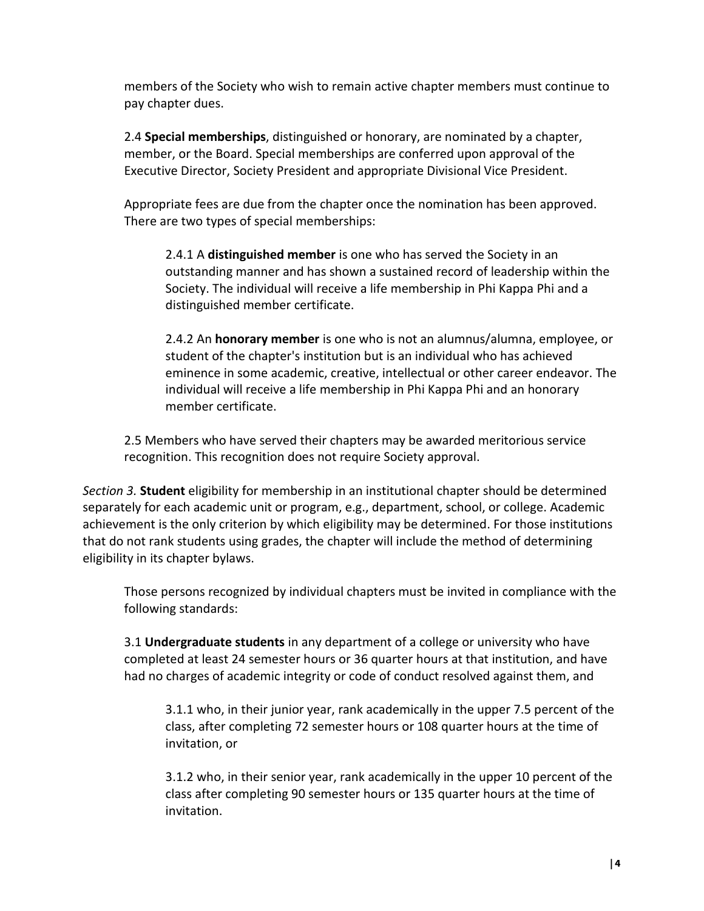members of the Society who wish to remain active chapter members must continue to pay chapter dues.

2.4 **Special memberships**, distinguished or honorary, are nominated by a chapter, member, or the Board. Special memberships are conferred upon approval of the Executive Director, Society President and appropriate Divisional Vice President.

Appropriate fees are due from the chapter once the nomination has been approved. There are two types of special memberships:

2.4.1 A **distinguished member** is one who has served the Society in an outstanding manner and has shown a sustained record of leadership within the Society. The individual will receive a life membership in Phi Kappa Phi and a distinguished member certificate.

2.4.2 An **honorary member** is one who is not an alumnus/alumna, employee, or student of the chapter's institution but is an individual who has achieved eminence in some academic, creative, intellectual or other career endeavor. The individual will receive a life membership in Phi Kappa Phi and an honorary member certificate.

2.5 Members who have served their chapters may be awarded meritorious service recognition. This recognition does not require Society approval.

*Section 3.* **Student** eligibility for membership in an institutional chapter should be determined separately for each academic unit or program, e.g., department, school, or college. Academic achievement is the only criterion by which eligibility may be determined. For those institutions that do not rank students using grades, the chapter will include the method of determining eligibility in its chapter bylaws.

Those persons recognized by individual chapters must be invited in compliance with the following standards:

3.1 **Undergraduate students** in any department of a college or university who have completed at least 24 semester hours or 36 quarter hours at that institution, and have had no charges of academic integrity or code of conduct resolved against them, and

3.1.1 who, in their junior year, rank academically in the upper 7.5 percent of the class, after completing 72 semester hours or 108 quarter hours at the time of invitation, or

3.1.2 who, in their senior year, rank academically in the upper 10 percent of the class after completing 90 semester hours or 135 quarter hours at the time of invitation.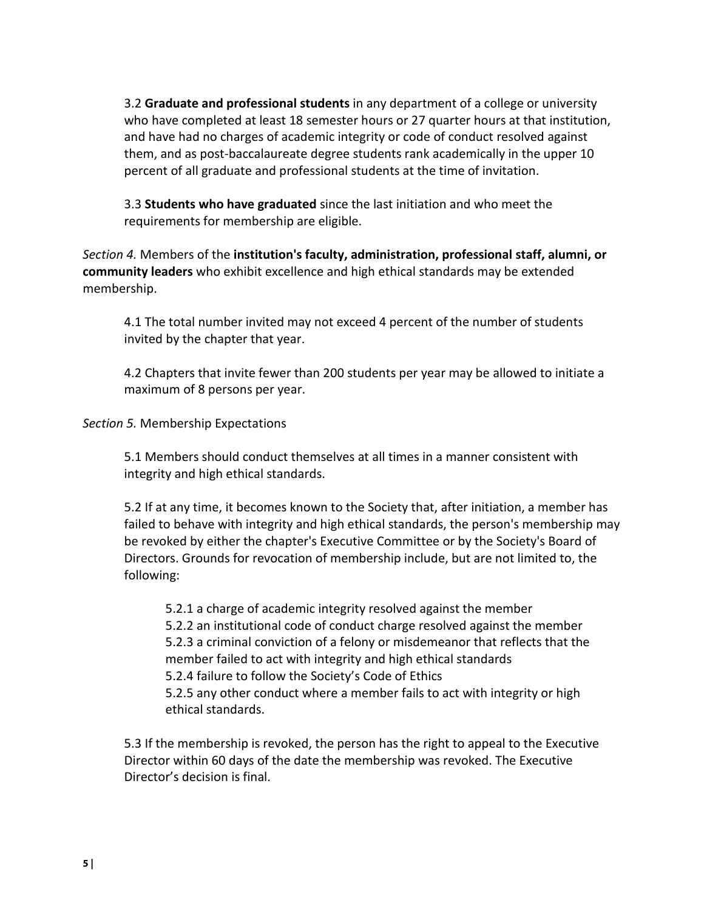3.2 **Graduate and professional students** in any department of a college or university who have completed at least 18 semester hours or 27 quarter hours at that institution, and have had no charges of academic integrity or code of conduct resolved against them, and as post-baccalaureate degree students rank academically in the upper 10 percent of all graduate and professional students at the time of invitation.

3.3 **Students who have graduated** since the last initiation and who meet the requirements for membership are eligible.

*Section 4.* Members of the **institution's faculty, administration, professional staff, alumni, or community leaders** who exhibit excellence and high ethical standards may be extended membership.

4.1 The total number invited may not exceed 4 percent of the number of students invited by the chapter that year.

4.2 Chapters that invite fewer than 200 students per year may be allowed to initiate a maximum of 8 persons per year.

*Section 5.* Membership Expectations

5.1 Members should conduct themselves at all times in a manner consistent with integrity and high ethical standards.

5.2 If at any time, it becomes known to the Society that, after initiation, a member has failed to behave with integrity and high ethical standards, the person's membership may be revoked by either the chapter's Executive Committee or by the Society's Board of Directors. Grounds for revocation of membership include, but are not limited to, the following:

5.2.1 a charge of academic integrity resolved against the member 5.2.2 an institutional code of conduct charge resolved against the member 5.2.3 a criminal conviction of a felony or misdemeanor that reflects that the member failed to act with integrity and high ethical standards 5.2.4 failure to follow the Society's Code of Ethics 5.2.5 any other conduct where a member fails to act with integrity or high ethical standards.

5.3 If the membership is revoked, the person has the right to appeal to the Executive Director within 60 days of the date the membership was revoked. The Executive Director's decision is final.